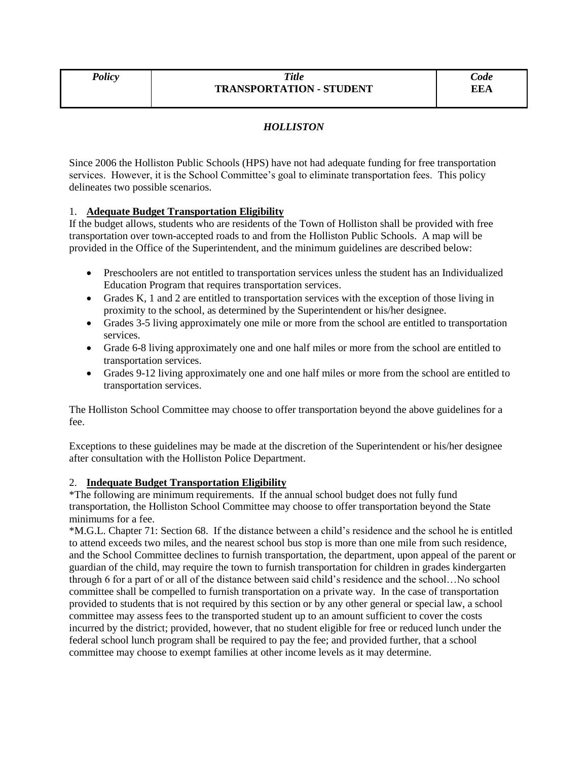# *HOLLISTON*

Since 2006 the Holliston Public Schools (HPS) have not had adequate funding for free transportation services. However, it is the School Committee's goal to eliminate transportation fees. This policy delineates two possible scenarios.

# 1. **Adequate Budget Transportation Eligibility**

If the budget allows, students who are residents of the Town of Holliston shall be provided with free transportation over town-accepted roads to and from the Holliston Public Schools. A map will be provided in the Office of the Superintendent, and the minimum guidelines are described below:

- Preschoolers are not entitled to transportation services unless the student has an Individualized Education Program that requires transportation services.
- Grades K, 1 and 2 are entitled to transportation services with the exception of those living in proximity to the school, as determined by the Superintendent or his/her designee.
- Grades 3-5 living approximately one mile or more from the school are entitled to transportation services.
- Grade 6-8 living approximately one and one half miles or more from the school are entitled to transportation services.
- Grades 9-12 living approximately one and one half miles or more from the school are entitled to transportation services.

The Holliston School Committee may choose to offer transportation beyond the above guidelines for a fee.

Exceptions to these guidelines may be made at the discretion of the Superintendent or his/her designee after consultation with the Holliston Police Department.

# 2. **Indequate Budget Transportation Eligibility**

\*The following are minimum requirements. If the annual school budget does not fully fund transportation, the Holliston School Committee may choose to offer transportation beyond the State minimums for a fee.

\*M.G.L. Chapter 71: Section 68. If the distance between a child's residence and the school he is entitled to attend exceeds two miles, and the nearest school bus stop is more than one mile from such residence, and the School Committee declines to furnish transportation, the department, upon appeal of the parent or guardian of the child, may require the town to furnish transportation for children in grades kindergarten through 6 for a part of or all of the distance between said child's residence and the school…No school committee shall be compelled to furnish transportation on a private way. In the case of transportation provided to students that is not required by this section or by any other general or special law, a school committee may assess fees to the transported student up to an amount sufficient to cover the costs incurred by the district; provided, however, that no student eligible for free or reduced lunch under the federal school lunch program shall be required to pay the fee; and provided further, that a school committee may choose to exempt families at other income levels as it may determine.